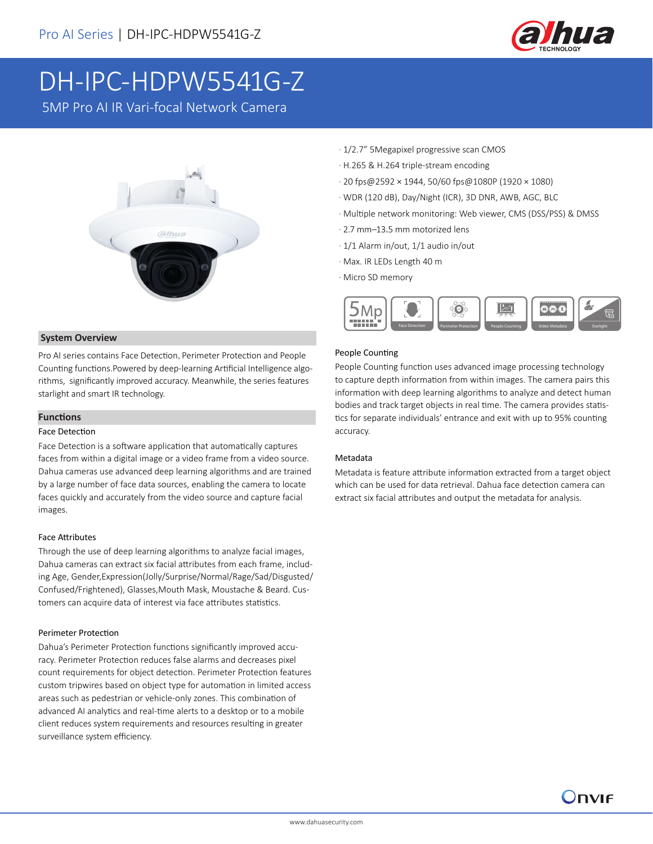

## DH-IPC-HDPW5541G-Z

5MP Pro AI IR Vari-focal Network Camera



#### **System Overview**

Pro AI series contains Face Detection, Perimeter Protection and People Counting functions.Powered by deep-learning Artificial Intelligence algorithms, significantly improved accuracy. Meanwhile, the series features starlight and smart IR technology.

#### **Functions**

#### Face Detection

Face Detection is a software application that automatically captures faces from within a digital image or a video frame from a video source. Dahua cameras use advanced deep learning algorithms and are trained by a large number of face data sources, enabling the camera to locate faces quickly and accurately from the video source and capture facial images.

#### Face Attributes

Through the use of deep learning algorithms to analyze facial images, Dahua cameras can extract six facial attributes from each frame, including Age, Gender,Expression(Jolly/Surprise/Normal/Rage/Sad/Disgusted/ Confused/Frightened), Glasses,Mouth Mask, Moustache & Beard. Customers can acquire data of interest via face attributes statistics.

#### Perimeter Protection

Dahua's Perimeter Protection functions significantly improved accuracy. Perimeter Protection reduces false alarms and decreases pixel count requirements for object detection. Perimeter Protection features custom tripwires based on object type for automation in limited access areas such as pedestrian or vehicle-only zones. This combination of advanced AI analytics and real-time alerts to a desktop or to a mobile client reduces system requirements and resources resulting in greater surveillance system efficiency.

- · 1/2.7" 5Megapixel progressive scan CMOS
- · H.265 & H.264 triple-stream encoding
- · 20 fps@2592 × 1944, 50/60 fps@1080P (1920 × 1080)
- · WDR (120 dB), Day/Night (ICR), 3D DNR, AWB, AGC, BLC
- · Multiple network monitoring: Web viewer, CMS (DSS/PSS) & DMSS
- · 2.7 mm–13.5 mm motorized lens
- · 1/1 Alarm in/out, 1/1 audio in/out
- · Max. IR LEDs Length 40 m
- · Micro SD memory



#### People Counting

People Counting function uses advanced image processing technology to capture depth information from within images. The camera pairs this information with deep learning algorithms to analyze and detect human bodies and track target objects in real time. The camera provides statistics for separate individuals' entrance and exit with up to 95% counting accuracy.

#### Metadata

Metadata is feature attribute information extracted from a target object which can be used for data retrieval. Dahua face detection camera can extract six facial attributes and output the metadata for analysis.

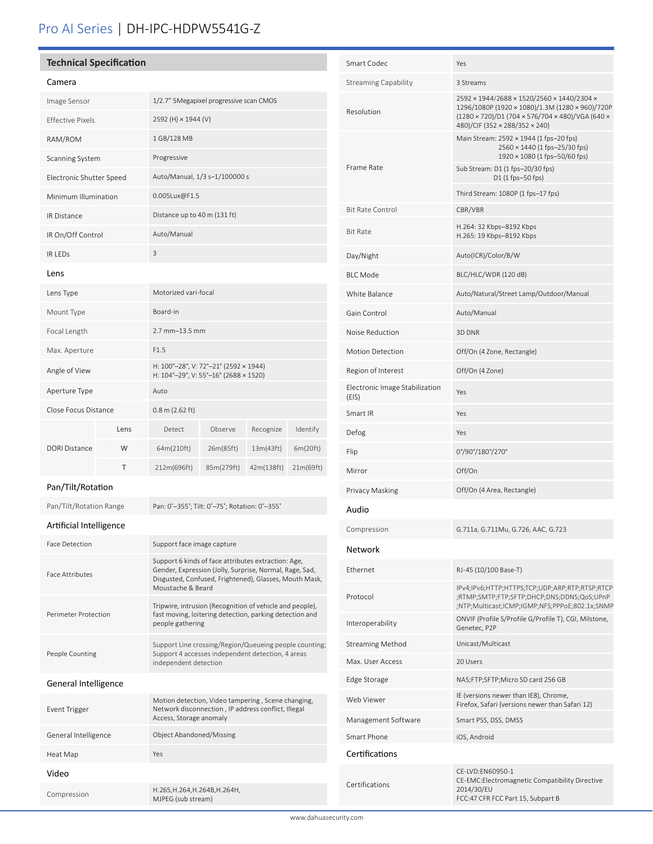## Pro AI Series | DH-IPC-HDPW5541G-Z

#### **Technical Specification**

| Camera                   |      |                                                                                |            |            |           |
|--------------------------|------|--------------------------------------------------------------------------------|------------|------------|-----------|
| Image Sensor             |      | 1/2.7" 5Megapixel progressive scan CMOS                                        |            |            |           |
| <b>Effective Pixels</b>  |      | 2592 (H) × 1944 (V)                                                            |            |            |           |
| RAM/ROM                  |      | 1 GB/128 MB                                                                    |            |            |           |
| Scanning System          |      | Progressive                                                                    |            |            |           |
| Electronic Shutter Speed |      | Auto/Manual, 1/3 s-1/100000 s                                                  |            |            |           |
| Minimum Illumination     |      | 0.005Lux@F1.5                                                                  |            |            |           |
| <b>IR Distance</b>       |      | Distance up to 40 m (131 ft)                                                   |            |            |           |
| IR On/Off Control        |      | Auto/Manual                                                                    |            |            |           |
| <b>IRIFDs</b>            |      | 3                                                                              |            |            |           |
| Lens                     |      |                                                                                |            |            |           |
| Lens Type                |      | Motorized vari-focal                                                           |            |            |           |
| Mount Type               |      | Board-in                                                                       |            |            |           |
| Focal Length             |      | 2.7 mm-13.5 mm                                                                 |            |            |           |
| Max. Aperture            |      | F1.5                                                                           |            |            |           |
| Angle of View            |      | H: 100°-28°, V: 72°-21° (2592 × 1944)<br>H: 104°-29°, V: 55°-16° (2688 × 1520) |            |            |           |
| Aperture Type            |      | Auto                                                                           |            |            |           |
| Close Focus Distance     |      | $0.8$ m (2.62 ft)                                                              |            |            |           |
| <b>DORI Distance</b>     | Lens | Detect                                                                         | Observe    | Recognize  | Identify  |
|                          | W    | 64m(210ft)                                                                     | 26m(85ft)  | 13m(43ft)  | 6m(20ft)  |
|                          | T    | 212m(696ft)                                                                    | 85m(279ft) | 42m(138ft) | 21m(69ft) |
| Pan/Tilt/Rotation        |      |                                                                                |            |            |           |

Pan/Tilt/Rotation Range Pan: 0°-355°; Tilt: 0°-75°; Rotation: 0°-355°

#### Artificial Intelligence

֦֚

| <b>Face Detection</b>  | Support face image capture                                                                                                                                                                    |  |  |  |
|------------------------|-----------------------------------------------------------------------------------------------------------------------------------------------------------------------------------------------|--|--|--|
| <b>Face Attributes</b> | Support 6 kinds of face attributes extraction: Age,<br>Gender, Expression (Jolly, Surprise, Normal, Rage, Sad,<br>Disgusted, Confused, Frightened), Glasses, Mouth Mask,<br>Moustache & Beard |  |  |  |
| Perimeter Protection   | Tripwire, intrusion (Recognition of vehicle and people),<br>fast moving, loitering detection, parking detection and<br>people gathering                                                       |  |  |  |
| People Counting        | Support Line crossing/Region/Queueing people counting;<br>Support 4 accesses independent detection, 4 areas<br>independent detection                                                          |  |  |  |
| General Intelligence   |                                                                                                                                                                                               |  |  |  |
| Event Trigger          | Motion detection, Video tampering, Scene changing,<br>Network disconnection, IP address conflict, Illegal<br>Access, Storage anomaly                                                          |  |  |  |
| General Intelligence   | <b>Object Abandoned/Missing</b>                                                                                                                                                               |  |  |  |
| Heat Map               | Yes                                                                                                                                                                                           |  |  |  |
| Video                  |                                                                                                                                                                                               |  |  |  |
| Compression            | H.265, H.264, H.264B, H.264H,<br>MJPEG (sub stream)                                                                                                                                           |  |  |  |

| Smart Codec                             | Yes                                                                                                                                                                                 |  |  |
|-----------------------------------------|-------------------------------------------------------------------------------------------------------------------------------------------------------------------------------------|--|--|
| <b>Streaming Capability</b>             | 3 Streams                                                                                                                                                                           |  |  |
| Resolution                              | 2592 × 1944/2688 × 1520/2560 × 1440/2304 ×<br>1296/1080P (1920 × 1080)/1.3M (1280 × 960)/720P<br>(1280 × 720)/D1 (704 × 576/704 × 480)/VGA (640 ×<br>480)/CIF (352 × 288/352 × 240) |  |  |
|                                         | Main Stream: 2592 × 1944 (1 fps-20 fps)<br>2560 × 1440 (1 fps-25/30 fps)<br>1920 × 1080 (1 fps-50/60 fps)                                                                           |  |  |
| Frame Rate                              | Sub Stream: D1 (1 fps-20/30 fps)<br>D1 (1 fps-50 fps)                                                                                                                               |  |  |
|                                         | Third Stream: 1080P (1 fps-17 fps)                                                                                                                                                  |  |  |
| <b>Bit Rate Control</b>                 | CBR/VBR                                                                                                                                                                             |  |  |
| <b>Bit Rate</b>                         | H.264: 32 Kbps-8192 Kbps<br>H.265: 19 Kbps-8192 Kbps                                                                                                                                |  |  |
| Day/Night                               | Auto(ICR)/Color/B/W                                                                                                                                                                 |  |  |
| <b>BLC Mode</b>                         | BLC/HLC/WDR (120 dB)                                                                                                                                                                |  |  |
| White Balance                           | Auto/Natural/Street Lamp/Outdoor/Manual                                                                                                                                             |  |  |
| Gain Control                            | Auto/Manual                                                                                                                                                                         |  |  |
| Noise Reduction                         | 3D DNR                                                                                                                                                                              |  |  |
| <b>Motion Detection</b>                 | Off/On (4 Zone, Rectangle)                                                                                                                                                          |  |  |
| Region of Interest                      | Off/On (4 Zone)                                                                                                                                                                     |  |  |
| Electronic Image Stabilization<br>(EIS) | Yes                                                                                                                                                                                 |  |  |
| Smart IR                                | Yes                                                                                                                                                                                 |  |  |
| Defog                                   | Yes                                                                                                                                                                                 |  |  |
| Flip                                    | 0°/90°/180°/270°                                                                                                                                                                    |  |  |
| Mirror                                  | Off/On                                                                                                                                                                              |  |  |
| Privacy Masking                         | Off/On (4 Area, Rectangle)                                                                                                                                                          |  |  |
| Audio                                   |                                                                                                                                                                                     |  |  |
| Compression                             | G.711a, G.711Mu, G.726, AAC, G.723                                                                                                                                                  |  |  |
| Network                                 |                                                                                                                                                                                     |  |  |
| Ethernet                                | RJ-45 (10/100 Base-T)                                                                                                                                                               |  |  |
| Protocol                                | IPv4;IPv6;HTTP;HTTPS;TCP;UDP;ARP;RTP;RTSP;RTCP<br>;RTMP;SMTP;FTP;SFTP;DHCP;DNS;DDNS;QoS;UPnP<br>;NTP;Multicast;ICMP;IGMP;NFS;PPPoE;802.1x;SNMP                                      |  |  |
| Interoperability                        | ONVIF (Profile S/Profile G/Profile T), CGI, Milstone,<br>Genetec, P2P                                                                                                               |  |  |
| <b>Streaming Method</b>                 | Unicast/Multicast                                                                                                                                                                   |  |  |
| Max. User Access                        | 20 Users                                                                                                                                                                            |  |  |
| Edge Storage                            | NAS;FTP;SFTP;Micro SD card 256 GB                                                                                                                                                   |  |  |
| Web Viewer                              | IE (versions newer than IE8), Chrome,<br>Firefox, Safari (versions newer than Safari 12)                                                                                            |  |  |
| Management Software                     | Smart PSS, DSS, DMSS                                                                                                                                                                |  |  |
| Smart Phone                             | iOS, Android                                                                                                                                                                        |  |  |
| Certifications                          |                                                                                                                                                                                     |  |  |
| Certifications                          | CE-LVD:EN60950-1<br>CE-EMC:Electromagnetic Compatibility Directive<br>2014/30/EU<br>FCC: 47 CFR FCC Part 15, Subpart B                                                              |  |  |